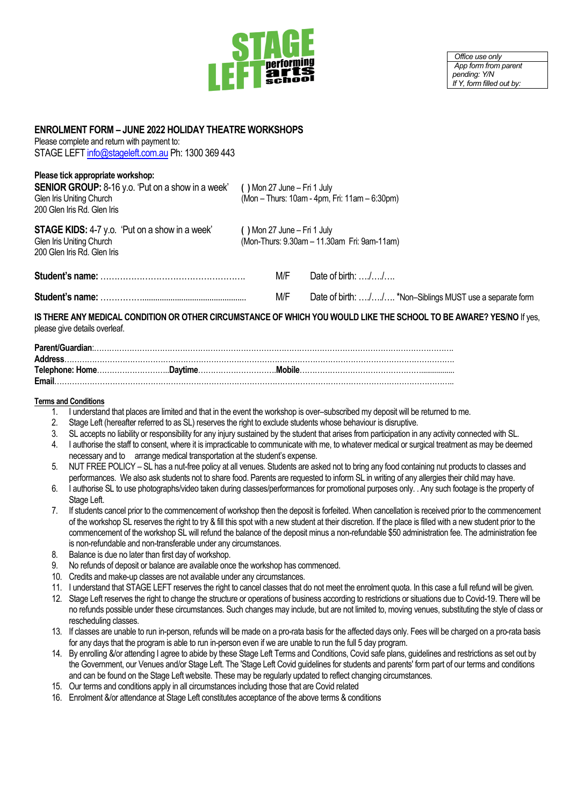

*Office use only App form from parent pending: Y/N If Y, form filled out by:*

## **ENROLMENT FORM – JUNE 2022 HOLIDAY THEATRE WORKSHOPS**

Please complete and return with payment to: STAGE LEFT [info@stageleft.com.au](mailto:info@stageleft.com.au) Ph: 1300 369 443

## **Please tick appropriate workshop:**

**SENIOR GROUP:** 8-16 y.o. 'Put on a show in a week' () Mon 27 June – Fri 1 July Glen Iris Uniting Church **(in the stand of the stand of the stand of the stand of the stand of the stand of Mon – Thurs: 10am - 4pm.** (Mon – Thurs: 10am - 4pm, Fri: 11am – 6:30pm) 200 Glen Iris Rd. Glen Iris **STAGE KIDS:** 4-7 y.o. 'Put on a show in a week' () Mon 27 June – Fri 1 July Glen Iris Uniting Church **(3)** Glen Iris Uniting Church (Mon-Thurs: 9.30am – 11.30am Fri: 9am-11am) 200 Glen Iris Rd. Glen Iris **Student's name:** ……………………………………………. M/F Date of birth: …./…./….

| .   |                                                          |
|-----|----------------------------------------------------------|
| M/F | Date of birth: // *Non-Siblings MUST use a separate form |

**IS THERE ANY MEDICAL CONDITION OR OTHER CIRCUMSTANCE OF WHICH YOU WOULD LIKE THE SCHOOL TO BE AWARE? YES/NO** If yes, please give details overleaf.

## **Terms and Conditions**

- 1. I understand that places are limited and that in the event the workshop is over–subscribed my deposit will be returned to me.
- 2. Stage Left (hereafter referred to as SL) reserves the right to exclude students whose behaviour is disruptive.
- 3. SL accepts no liability or responsibility for any injury sustained by the student that arises from participation in any activity connected with SL.
- 4. I authorise the staff to consent, where it is impracticable to communicate with me, to whatever medical or surgical treatment as may be deemed necessary and to arrange medical transportation at the student's expense.
- 5. NUT FREE POLICY SL has a nut-free policy at all venues. Students are asked not to bring any food containing nut products to classes and performances. We also ask students not to share food. Parents are requested to inform SL in writing of any allergies their child may have.
- 6. I authorise SL to use photographs/video taken during classes/performances for promotional purposes only. . Any such footage is the property of Stage Left.
- 7. If students cancel prior to the commencement of workshop then the deposit is forfeited. When cancellation is received prior to the commencement of the workshop SL reserves the right to try & fill this spot with a new student at their discretion. If the place is filled with a new student prior to the commencement of the workshop SL will refund the balance of the deposit minus a non-refundable \$50 administration fee. The administration fee is non-refundable and non-transferable under any circumstances.
- 8. Balance is due no later than first day of workshop.
- 9. No refunds of deposit or balance are available once the workshop has commenced.
- 10. Credits and make-up classes are not available under any circumstances.
- 11. I understand that STAGE LEFT reserves the right to cancel classes that do not meet the enrolment quota. In this case a full refund will be given.
- 12. Stage Left reserves the right to change the structure or operations of business according to restrictions or situations due to Covid-19. There will be no refunds possible under these circumstances. Such changes may include, but are not limited to, moving venues, substituting the style of class or rescheduling classes.
- 13. If classes are unable to run in-person, refunds will be made on a pro-rata basis for the affected days only. Fees will be charged on a pro-rata basis for any days that the program is able to run in-person even if we are unable to run the full 5 day program.
- 14. By enrolling &/or attending I agree to abide by these Stage Left Terms and Conditions, Covid safe plans, guidelines and restrictions as set out by the Government, our Venues and/or Stage Left. The 'Stage Left Covid guidelines for students and parents' form part of our terms and conditions and can be found on the Stage Left website. These may be regularly updated to reflect changing circumstances.
- 15. Our terms and conditions apply in all circumstances including those that are Covid related
- 16. Enrolment &/or attendance at Stage Left constitutes acceptance of the above terms & conditions